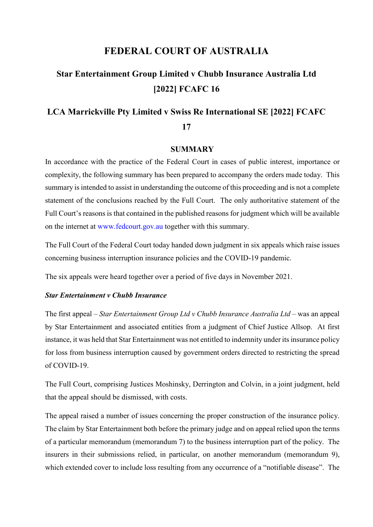## **FEDERAL COURT OF AUSTRALIA**

# **Star Entertainment Group Limited v Chubb Insurance Australia Ltd [2022] FCAFC 16**

# **LCA Marrickville Pty Limited v Swiss Re International SE [2022] FCAFC 17**

### **SUMMARY**

In accordance with the practice of the Federal Court in cases of public interest, importance or complexity, the following summary has been prepared to accompany the orders made today. This summary is intended to assist in understanding the outcome of this proceeding and is not a complete statement of the conclusions reached by the Full Court. The only authoritative statement of the Full Court's reasons is that contained in the published reasons for judgment which will be available on the internet at www.fedcourt.gov.au together with this summary.

The Full Court of the Federal Court today handed down judgment in six appeals which raise issues concerning business interruption insurance policies and the COVID-19 pandemic.

The six appeals were heard together over a period of five days in November 2021.

#### *Star Entertainment v Chubb Insurance*

The first appeal – *Star Entertainment Group Ltd v Chubb Insurance Australia Ltd –* was an appeal by Star Entertainment and associated entities from a judgment of Chief Justice Allsop. At first instance, it was held that Star Entertainment was not entitled to indemnity under its insurance policy for loss from business interruption caused by government orders directed to restricting the spread of COVID-19.

The Full Court, comprising Justices Moshinsky, Derrington and Colvin, in a joint judgment, held that the appeal should be dismissed, with costs.

The appeal raised a number of issues concerning the proper construction of the insurance policy. The claim by Star Entertainment both before the primary judge and on appeal relied upon the terms of a particular memorandum (memorandum 7) to the business interruption part of the policy. The insurers in their submissions relied, in particular, on another memorandum (memorandum 9), which extended cover to include loss resulting from any occurrence of a "notifiable disease". The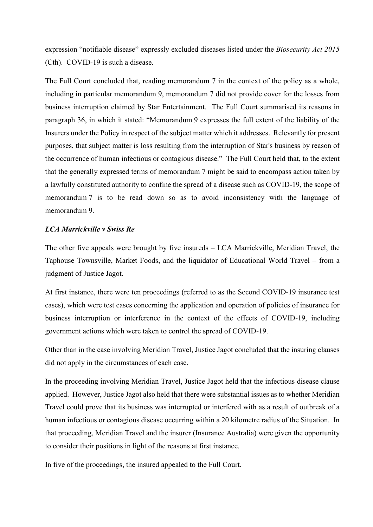expression "notifiable disease" expressly excluded diseases listed under the *Biosecurity Act 2015*  (Cth). COVID-19 is such a disease.

The Full Court concluded that, reading memorandum 7 in the context of the policy as a whole, including in particular memorandum 9, memorandum 7 did not provide cover for the losses from business interruption claimed by Star Entertainment. The Full Court summarised its reasons in paragraph 36, in which it stated: "Memorandum 9 expresses the full extent of the liability of the Insurers under the Policy in respect of the subject matter which it addresses. Relevantly for present purposes, that subject matter is loss resulting from the interruption of Star's business by reason of the occurrence of human infectious or contagious disease." The Full Court held that, to the extent that the generally expressed terms of memorandum 7 might be said to encompass action taken by a lawfully constituted authority to confine the spread of a disease such as COVID-19, the scope of memorandum 7 is to be read down so as to avoid inconsistency with the language of memorandum 9.

#### *LCA Marrickville v Swiss Re*

The other five appeals were brought by five insureds – LCA Marrickville, Meridian Travel, the Taphouse Townsville, Market Foods, and the liquidator of Educational World Travel – from a judgment of Justice Jagot.

At first instance, there were ten proceedings (referred to as the Second COVID-19 insurance test cases), which were test cases concerning the application and operation of policies of insurance for business interruption or interference in the context of the effects of COVID-19, including government actions which were taken to control the spread of COVID-19.

Other than in the case involving Meridian Travel, Justice Jagot concluded that the insuring clauses did not apply in the circumstances of each case.

In the proceeding involving Meridian Travel, Justice Jagot held that the infectious disease clause applied. However, Justice Jagot also held that there were substantial issues as to whether Meridian Travel could prove that its business was interrupted or interfered with as a result of outbreak of a human infectious or contagious disease occurring within a 20 kilometre radius of the Situation. In that proceeding, Meridian Travel and the insurer (Insurance Australia) were given the opportunity to consider their positions in light of the reasons at first instance.

In five of the proceedings, the insured appealed to the Full Court.